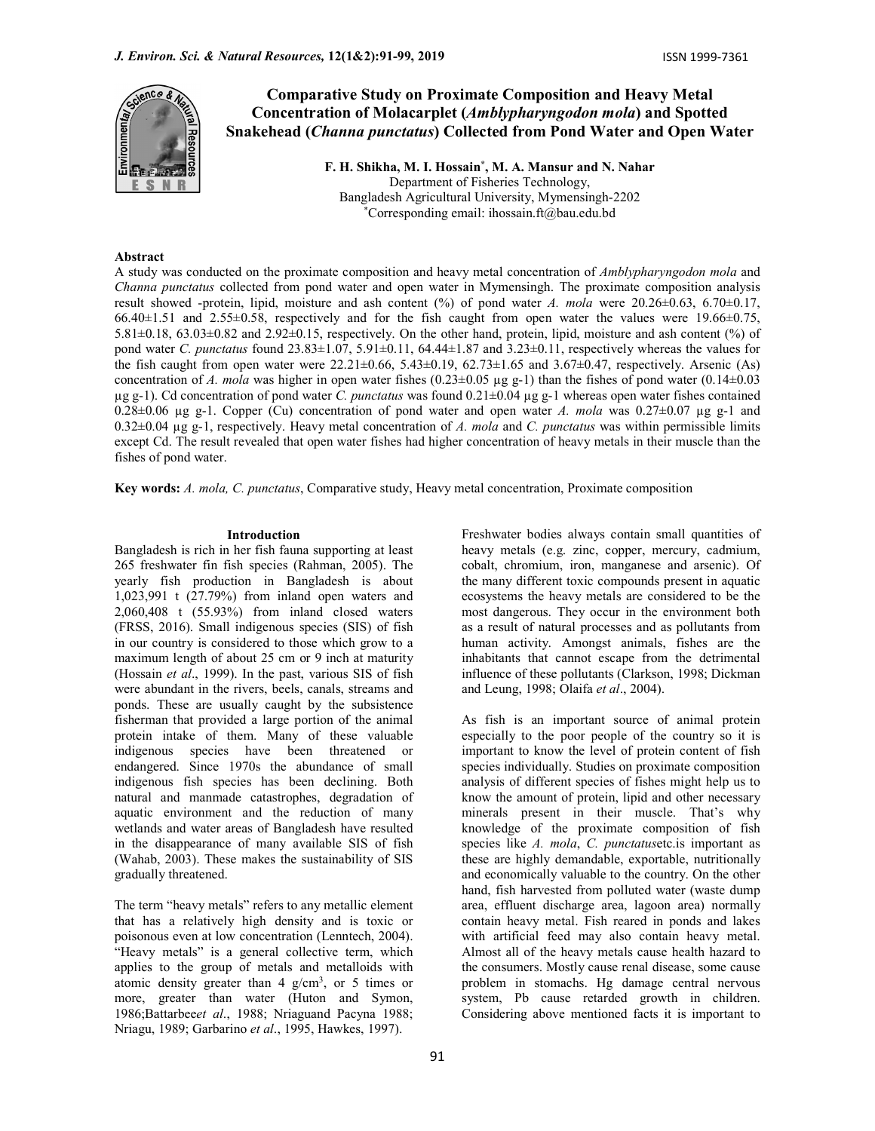

# Comparative Study on Proximate Composition and Heavy Metal Concentration of Molacarplet (Amblypharyngodon mola) and Spotted Snakehead (Channa punctatus) Collected from Pond Water and Open Water

F. H. Shikha, M. I. Hossain\* , M. A. Mansur and N. Nahar Department of Fisheries Technology, Bangladesh Agricultural University, Mymensingh-2202 \*Corresponding email: ihossain.ft@bau.edu.bd

## Abstract

A study was conducted on the proximate composition and heavy metal concentration of Amblypharyngodon mola and Channa punctatus collected from pond water and open water in Mymensingh. The proximate composition analysis result showed -protein, lipid, moisture and ash content  $(\%)$  of pond water A. mola were 20.26±0.63, 6.70±0.17, 66.40±1.51 and 2.55±0.58, respectively and for the fish caught from open water the values were 19.66±0.75, 5.81±0.18, 63.03±0.82 and 2.92±0.15, respectively. On the other hand, protein, lipid, moisture and ash content (%) of pond water C. punctatus found  $23.83\pm1.07$ ,  $5.91\pm0.11$ ,  $64.44\pm1.87$  and  $3.23\pm0.11$ , respectively whereas the values for the fish caught from open water were  $22.21 \pm 0.66$ ,  $5.43 \pm 0.19$ ,  $62.73 \pm 1.65$  and  $3.67 \pm 0.47$ , respectively. Arsenic (As) concentration of A. mola was higher in open water fishes (0.23±0.05 µg g-1) than the fishes of pond water (0.14±0.03  $\mu$ g g-1). Cd concentration of pond water C. *punctatus* was found 0.21 $\pm$ 0.04  $\mu$ g g-1 whereas open water fishes contained 0.28 $\pm$ 0.06 µg g-1. Copper (Cu) concentration of pond water and open water A. mola was 0.27 $\pm$ 0.07 µg g-1 and  $0.32\pm0.04$  µg g-1, respectively. Heavy metal concentration of A. mola and C. punctatus was within permissible limits except Cd. The result revealed that open water fishes had higher concentration of heavy metals in their muscle than the fishes of pond water.

Key words: A. mola, C. punctatus, Comparative study, Heavy metal concentration, Proximate composition

### Introduction Freshwater bodies always contain small quantities of

Bangladesh is rich in her fish fauna supporting at least 265 freshwater fin fish species (Rahman, 2005). The yearly fish production in Bangladesh is about 1,023,991 t (27.79%) from inland open waters and 2,060,408 t (55.93%) from inland closed waters (FRSS, 2016). Small indigenous species (SIS) of fish in our country is considered to those which grow to a maximum length of about 25 cm or 9 inch at maturity (Hossain et al., 1999). In the past, various SIS of fish were abundant in the rivers, beels, canals, streams and ponds. These are usually caught by the subsistence fisherman that provided a large portion of the animal protein intake of them. Many of these valuable indigenous species have been threatened or endangered. Since 1970s the abundance of small indigenous fish species has been declining. Both natural and manmade catastrophes, degradation of aquatic environment and the reduction of many wetlands and water areas of Bangladesh have resulted in the disappearance of many available SIS of fish (Wahab, 2003). These makes the sustainability of SIS gradually threatened.

The term "heavy metals" refers to any metallic element that has a relatively high density and is toxic or poisonous even at low concentration (Lenntech, 2004). "Heavy metals" is a general collective term, which applies to the group of metals and metalloids with atomic density greater than 4  $g/cm<sup>3</sup>$ , or 5 times or problem in stor more, greater than water (Huton and Symon, 1986;Battarbeeet al., 1988; Nriaguand Pacyna 1988; Nriagu, 1989; Garbarino et al., 1995, Hawkes, 1997).

most dangerous. They occur in the environment both as a result of natural processes and as pollutants from human activity. Amongst animals, fishes are the inhabitants that cannot escape from the detrimental influence of these pollutants (Clarkson, 1998; Dickman and Leung, 1998; Olaifa et al., 2004). As fish is an important source of animal protein especially to the poor people of the country so it is important to know the level of protein content of fish species individually. Studies on proximate composition

heavy metals (e.g. zinc, copper, mercury, cadmium, cobalt, chromium, iron, manganese and arsenic). Of the many different toxic compounds present in aquatic ecosystems the heavy metals are considered to be the

analysis of different species of fishes might help us to know the amount of protein, lipid and other necessary minerals present in their muscle. That's why knowledge of the proximate composition of fish species like A. mola, C. punctatusetc.is important as these are highly demandable, exportable, nutritionally and economically valuable to the country. On the other hand, fish harvested from polluted water (waste dump area, effluent discharge area, lagoon area) normally contain heavy metal. Fish reared in ponds and lakes with artificial feed may also contain heavy metal. Almost all of the heavy metals cause health hazard to the consumers. Mostly cause renal disease, some cause problem in stomachs. Hg damage central nervous system, Pb cause retarded growth in children. Considering above mentioned facts it is important to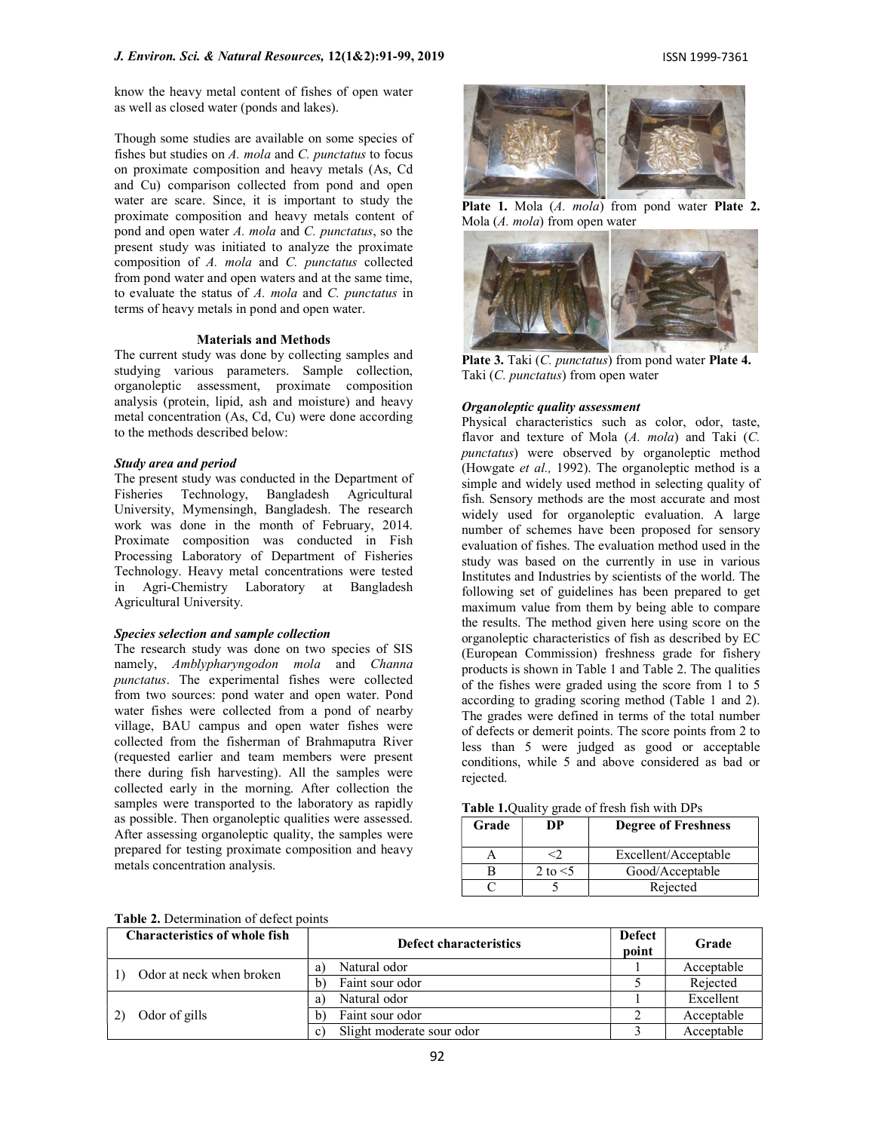know the heavy metal content of fishes of open water as well as closed water (ponds and lakes).

Though some studies are available on some species of fishes but studies on  $A$ . mola and  $C$ . punctatus to focus on proximate composition and heavy metals (As, Cd and Cu) comparison collected from pond and open water are scare. Since, it is important to study the proximate composition and heavy metals content of pond and open water A. mola and C. punctatus, so the present study was initiated to analyze the proximate composition of A. mola and C. punctatus collected from pond water and open waters and at the same time, to evaluate the status of  $A$ . mola and  $C$ . punctatus in terms of heavy metals in pond and open water.

## Materials and Methods

The current study was done by collecting samples and studying various parameters. Sample collection, organoleptic assessment, proximate composition analysis (protein, lipid, ash and moisture) and heavy metal concentration (As, Cd, Cu) were done according to the methods described below:

#### Study area and period

The present study was conducted in the Department of Fisheries Technology, Bangladesh Agricultural University, Mymensingh, Bangladesh. The research work was done in the month of February, 2014. Proximate composition was conducted in Fish Processing Laboratory of Department of Fisheries Technology. Heavy metal concentrations were tested in Agri-Chemistry Laboratory at Bangladesh Agricultural University.

## Species selection and sample collection

The research study was done on two species of SIS namely, Amblypharyngodon mola and Channa punctatus. The experimental fishes were collected from two sources: pond water and open water. Pond water fishes were collected from a pond of nearby village, BAU campus and open water fishes were collected from the fisherman of Brahmaputra River (requested earlier and team members were present there during fish harvesting). All the samples were collected early in the morning. After collection the samples were transported to the laboratory as rapidly as possible. Then organoleptic qualities were assessed. After assessing organoleptic quality, the samples were prepared for testing proximate composition and heavy metals concentration analysis.



Plate 1. Mola (A. mola) from pond water Plate 2. Mola (A. mola) from open water



Plate 3. Taki (C. punctatus) from pond water Plate 4. Taki (C. punctatus) from open water

## Organoleptic quality assessment

Physical characteristics such as color, odor, taste, flavor and texture of Mola  $(A. \text{ mola})$  and Taki  $(C. \text{~}$ punctatus) were observed by organoleptic method (Howgate et al., 1992). The organoleptic method is a simple and widely used method in selecting quality of fish. Sensory methods are the most accurate and most widely used for organoleptic evaluation. A large number of schemes have been proposed for sensory evaluation of fishes. The evaluation method used in the study was based on the currently in use in various Institutes and Industries by scientists of the world. The following set of guidelines has been prepared to get maximum value from them by being able to compare the results. The method given here using score on the organoleptic characteristics of fish as described by EC (European Commission) freshness grade for fishery products is shown in Table 1 and Table 2. The qualities of the fishes were graded using the score from 1 to 5 according to grading scoring method (Table 1 and 2). The grades were defined in terms of the total number of defects or demerit points. The score points from 2 to less than 5 were judged as good or acceptable conditions, while 5 and above considered as bad or rejected.

|  | Table 1. Quality grade of fresh fish with DPs |  |  |  |  |  |
|--|-----------------------------------------------|--|--|--|--|--|
|--|-----------------------------------------------|--|--|--|--|--|

| Grade | DP         | <b>Degree of Freshness</b> |
|-------|------------|----------------------------|
|       |            | Excellent/Acceptable       |
|       | 2 to $<$ 5 | Good/Acceptable            |
|       |            | Rejected                   |

|  |  |  | Table 2. Determination of defect points |  |
|--|--|--|-----------------------------------------|--|
|--|--|--|-----------------------------------------|--|

| <b>Characteristics of whole fish</b> | <b>Defect characteristics</b>               |  | Grade      |
|--------------------------------------|---------------------------------------------|--|------------|
| Odor at neck when broken             | Natural odor<br>a)                          |  | Acceptable |
|                                      | Faint sour odor<br>$\mathbf{b}$             |  | Rejected   |
|                                      | Natural odor<br>a)                          |  | Excellent  |
| Odor of gills                        | Faint sour odor<br>b)                       |  | Acceptable |
|                                      | Slight moderate sour odor<br>$\mathbf{c}$ ) |  | Acceptable |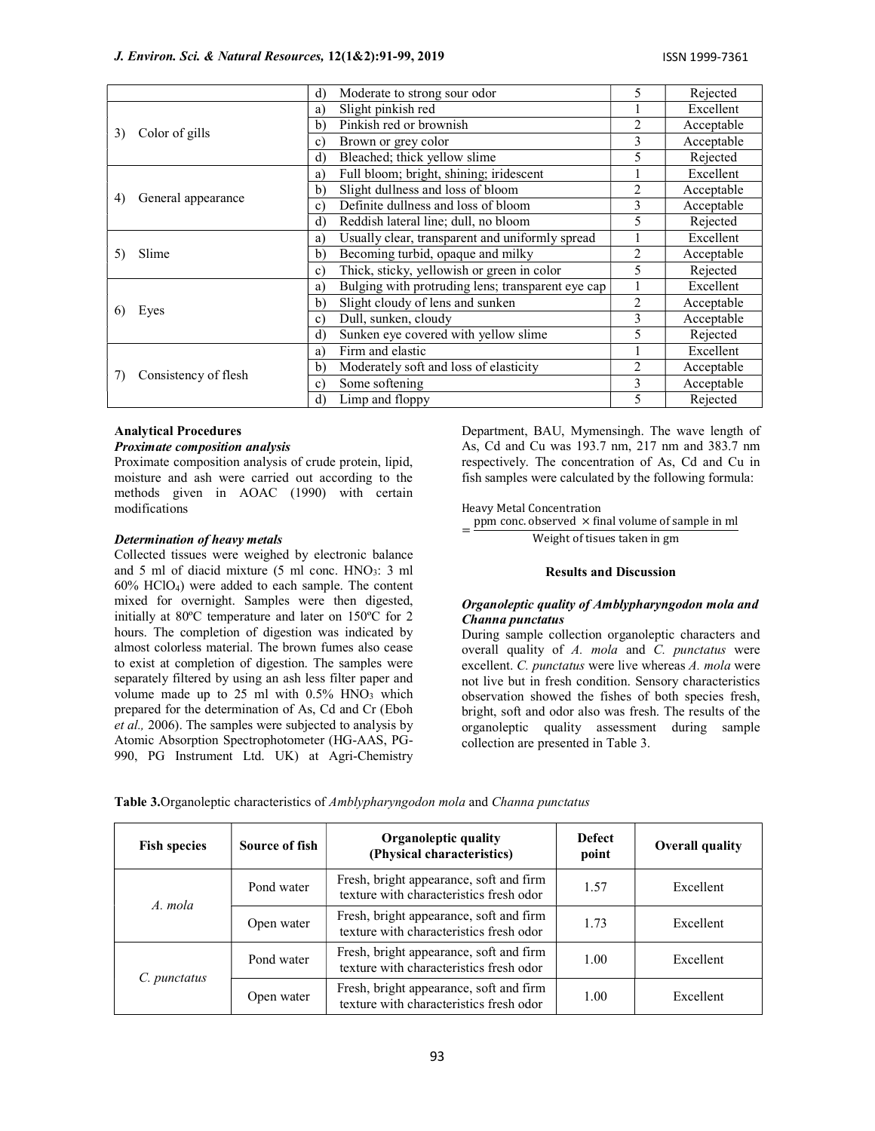## J. Environ. Sci. & Natural Resources, 12(1&2):91-99, 2019 ISSN 1999-7361

|    |                      | d)<br>Moderate to strong sour odor                      | 5 | Rejected   |
|----|----------------------|---------------------------------------------------------|---|------------|
|    |                      | Slight pinkish red<br>a)                                |   | Excellent  |
| 3) |                      | Pinkish red or brownish<br>b)                           | 2 | Acceptable |
|    | Color of gills       | Brown or grey color<br>c)                               | 3 | Acceptable |
|    |                      | $\mathbf{d}$<br>Bleached; thick yellow slime            | 5 | Rejected   |
|    |                      | Full bloom; bright, shining; iridescent<br>a)           |   | Excellent  |
| 4) |                      | Slight dullness and loss of bloom<br>b)                 | 2 | Acceptable |
|    | General appearance   | Definite dullness and loss of bloom<br>$\mathbf{c}$     | 3 | Acceptable |
|    |                      | $\rm d$<br>Reddish lateral line; dull, no bloom         | 5 | Rejected   |
|    |                      | Usually clear, transparent and uniformly spread<br>a)   |   | Excellent  |
| 5) | Slime                | Becoming turbid, opaque and milky<br>b)                 | 2 | Acceptable |
|    |                      | Thick, sticky, yellowish or green in color<br>c)        | 5 | Rejected   |
|    |                      | Bulging with protruding lens; transparent eye cap<br>a) |   | Excellent  |
| 6) |                      | Slight cloudy of lens and sunken<br>b)                  | 2 | Acceptable |
|    | Eyes                 | Dull, sunken, cloudy<br>c)                              | 3 | Acceptable |
|    |                      | Sunken eye covered with yellow slime<br>$\rm d$         | 5 | Rejected   |
|    |                      | Firm and elastic<br>a)                                  |   | Excellent  |
|    | Consistency of flesh | Moderately soft and loss of elasticity<br>b)            | 2 | Acceptable |
|    |                      | Some softening<br>c)                                    | 3 | Acceptable |
|    |                      | $\mathbf{d}$<br>Limp and floppy                         | 5 | Rejected   |

## Analytical Procedures

## Proximate composition analysis

Proximate composition analysis of crude protein, lipid, moisture and ash were carried out according to the methods given in AOAC (1990) with certain modifications

### Determination of heavy metals

Collected tissues were weighed by electronic balance and 5 ml of diacid mixture  $(5 \text{ ml cone. HNO}_3$ : 3 ml 60% HClO4) were added to each sample. The content mixed for overnight. Samples were then digested, initially at 80ºC temperature and later on 150ºC for 2 hours. The completion of digestion was indicated by almost colorless material. The brown fumes also cease to exist at completion of digestion. The samples were separately filtered by using an ash less filter paper and volume made up to 25 ml with  $0.5\%$  HNO<sub>3</sub> which prepared for the determination of As, Cd and Cr (Eboh et al., 2006). The samples were subjected to analysis by Atomic Absorption Spectrophotometer (HG-AAS, PG-990, PG Instrument Ltd. UK) at Agri-Chemistry

Department, BAU, Mymensingh. The wave length of As, Cd and Cu was 193.7 nm, 217 nm and 383.7 nm respectively. The concentration of As, Cd and Cu in fish samples were calculated by the following formula:

Heavy Metal Concentration

= ppm conc. observed  $\times$  final volume of sample in ml Weight of tisues taken in gm

#### Results and Discussion

## Organoleptic quality of Amblypharyngodon mola and Channa punctatus

During sample collection organoleptic characters and overall quality of A. mola and C. punctatus were excellent. C. punctatus were live whereas A. mola were not live but in fresh condition. Sensory characteristics observation showed the fishes of both species fresh, bright, soft and odor also was fresh. The results of the organoleptic quality assessment during sample collection are presented in Table 3.

| <b>Fish species</b>   | Source of fish | <b>Organoleptic quality</b><br>(Physical characteristics)                          | <b>Defect</b><br>point | <b>Overall quality</b> |
|-----------------------|----------------|------------------------------------------------------------------------------------|------------------------|------------------------|
| Pond water<br>A. mola |                | Fresh, bright appearance, soft and firm<br>texture with characteristics fresh odor | 1.57                   | Excellent              |
|                       | Open water     | Fresh, bright appearance, soft and firm<br>texture with characteristics fresh odor | 1.73                   | Excellent              |
|                       | Pond water     | Fresh, bright appearance, soft and firm<br>texture with characteristics fresh odor | 1.00                   | Excellent              |
| C. punctatus          | Open water     | Fresh, bright appearance, soft and firm<br>texture with characteristics fresh odor | 1.00                   | Excellent              |

Table 3.Organoleptic characteristics of Amblypharyngodon mola and Channa punctatus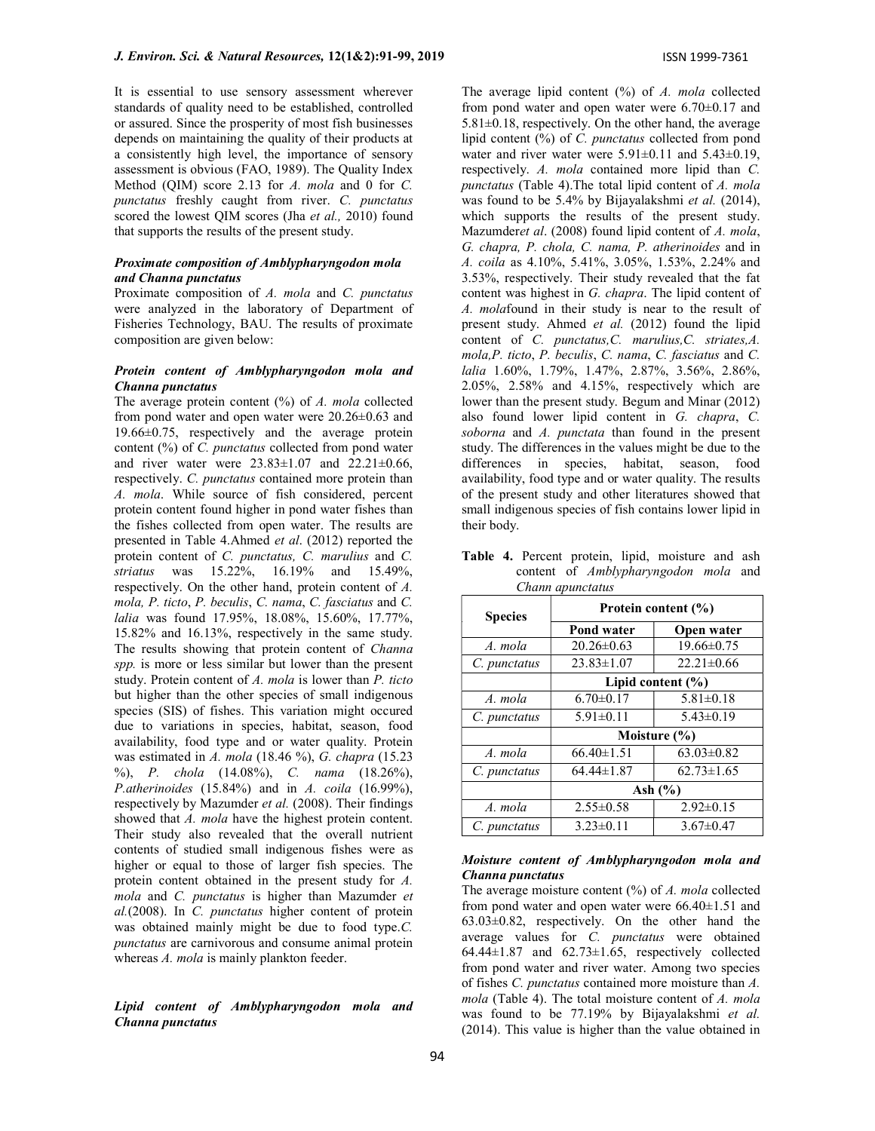It is essential to use sensory assessment wherever standards of quality need to be established, controlled or assured. Since the prosperity of most fish businesses depends on maintaining the quality of their products at a consistently high level, the importance of sensory assessment is obvious (FAO, 1989). The Quality Index Method (OIM) score 2.13 for A, mola and 0 for C. punctatus freshly caught from river. C. punctatus scored the lowest QIM scores (Jha et al., 2010) found that supports the results of the present study.

#### Proximate composition of Amblypharyngodon mola and Channa punctatus

Proximate composition of A. mola and C. punctatus were analyzed in the laboratory of Department of Fisheries Technology, BAU. The results of proximate composition are given below:

## Protein content of Amblypharyngodon mola and Channa punctatus

The average protein content  $(%)$  of A. mola collected from pond water and open water were 20.26±0.63 and 19.66±0.75, respectively and the average protein content (%) of C. punctatus collected from pond water and river water were  $23.83 \pm 1.07$  and  $22.21 \pm 0.66$ , respectively. C. punctatus contained more protein than A. mola. While source of fish considered, percent protein content found higher in pond water fishes than the fishes collected from open water. The results are presented in Table 4.Ahmed et al. (2012) reported the protein content of C. punctatus, C. marulius and C. striatus was 15.22%, 16.19% and 15.49%, respectively. On the other hand, protein content of A. mola, P. ticto, P. beculis, C. nama, C. fasciatus and C. lalia was found 17.95%, 18.08%, 15.60%, 17.77%, 15.82% and 16.13%, respectively in the same study. The results showing that protein content of Channa spp. is more or less similar but lower than the present study. Protein content of A. mola is lower than P. ticto but higher than the other species of small indigenous species (SIS) of fishes. This variation might occured due to variations in species, habitat, season, food availability, food type and or water quality. Protein was estimated in A. mola  $(18.46\%)$ , G. chapra  $(15.23)$ %), P. chola (14.08%), C. nama (18.26%), P.atherinoides (15.84%) and in A. coila (16.99%), respectively by Mazumder et al. (2008). Their findings showed that A. mola have the highest protein content. Their study also revealed that the overall nutrient contents of studied small indigenous fishes were as higher or equal to those of larger fish species. The protein content obtained in the present study for A. mola and C. punctatus is higher than Mazumder et al.(2008). In C. punctatus higher content of protein was obtained mainly might be due to food type.C. punctatus are carnivorous and consume animal protein whereas A. mola is mainly plankton feeder.

## Lipid content of Amblypharyngodon mola and Channa punctatus

The average lipid content  $(%)$  of A. mola collected from pond water and open water were 6.70±0.17 and  $5.81\pm0.18$ , respectively. On the other hand, the average lipid content (%) of C. punctatus collected from pond water and river water were  $5.91\pm0.11$  and  $5.43\pm0.19$ , respectively. A. mola contained more lipid than C. punctatus (Table 4).The total lipid content of A. mola was found to be 5.4% by Bijayalakshmi et al. (2014), which supports the results of the present study. Mazumderet al. (2008) found lipid content of A. mola, G. chapra, P. chola, C. nama, P. atherinoides and in A. coila as 4.10%, 5.41%, 3.05%, 1.53%, 2.24% and 3.53%, respectively. Their study revealed that the fat content was highest in G. chapra. The lipid content of A. molafound in their study is near to the result of present study. Ahmed et al. (2012) found the lipid content of C. punctatus,C. marulius,C. striates,A. mola,P. ticto, P. beculis, C. nama, C. fasciatus and C. lalia 1.60%, 1.79%, 1.47%, 2.87%, 3.56%, 2.86%, 2.05%, 2.58% and 4.15%, respectively which are lower than the present study. Begum and Minar (2012) also found lower lipid content in G. chapra, C. soborna and A. punctata than found in the present study. The differences in the values might be due to the differences in species, habitat, season, food availability, food type and or water quality. The results of the present study and other literatures showed that small indigenous species of fish contains lower lipid in their body.

|  |                  |  | Table 4. Percent protein, lipid, moisture and ash |  |
|--|------------------|--|---------------------------------------------------|--|
|  |                  |  | content of Amblypharyngodon mola and              |  |
|  | Chann apunctatus |  |                                                   |  |

| <b>Species</b> | Protein content (%) |                       |  |  |
|----------------|---------------------|-----------------------|--|--|
|                | <b>Pond water</b>   | Open water            |  |  |
| A. mola        | $20.26 \pm 0.63$    | $19.66 \pm 0.75$      |  |  |
| C. punctatus   | $23.83\pm1.07$      | $22.21 \pm 0.66$      |  |  |
|                |                     | Lipid content $(\% )$ |  |  |
| A. mola        | $6.70 \pm 0.17$     | $5.81 \pm 0.18$       |  |  |
| C. punctatus   | $5.91 \pm 0.11$     | $5.43 \pm 0.19$       |  |  |
|                |                     | Moisture (%)          |  |  |
| A. mola        | $66.40 \pm 1.51$    | $63.03 \pm 0.82$      |  |  |
| C. punctatus   | $64.44 \pm 1.87$    | $62.73 \pm 1.65$      |  |  |
|                | Ash $(\% )$         |                       |  |  |
| A. mola        | $2.55 \pm 0.58$     | $2.92 \pm 0.15$       |  |  |
| C. punctatus   | $3.23 \pm 0.11$     | $3.67 \pm 0.47$       |  |  |

## Moisture content of Amblypharyngodon mola and Channa punctatus

The average moisture content  $(%)$  of A. mola collected from pond water and open water were 66.40±1.51 and 63.03±0.82, respectively. On the other hand the average values for C. punctatus were obtained 64.44±1.87 and 62.73±1.65, respectively collected from pond water and river water. Among two species of fishes C. punctatus contained more moisture than A. mola (Table 4). The total moisture content of A. mola was found to be 77.19% by Bijayalakshmi et al. (2014). This value is higher than the value obtained in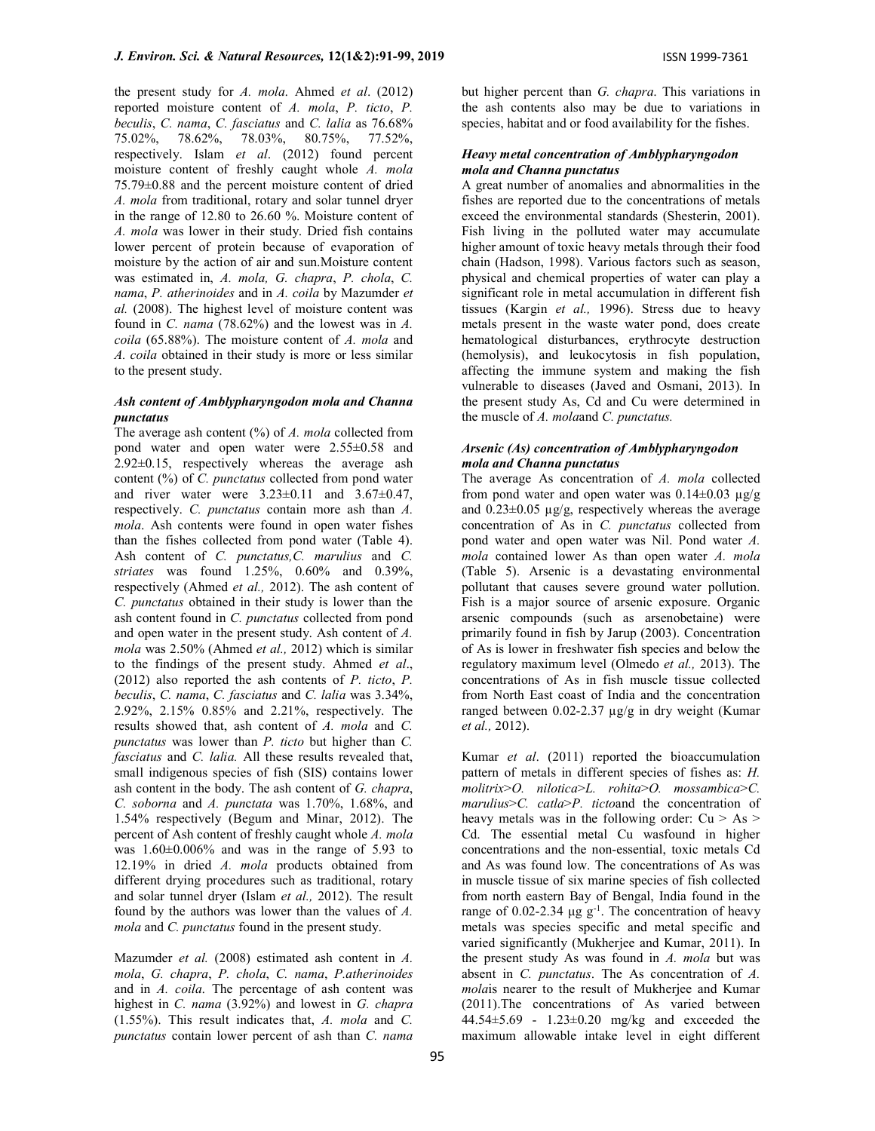the present study for  $A$ . mola. Ahmed et al. (2012) reported moisture content of A. mola, P. ticto, P. beculis, C. nama, C. fasciatus and C. lalia as 76.68% 75.02%, 78.62%, 78.03%, 80.75%, 77.52%, respectively. Islam et al. (2012) found percent moisture content of freshly caught whole A. mola 75.79±0.88 and the percent moisture content of dried A. mola from traditional, rotary and solar tunnel dryer in the range of 12.80 to 26.60 %. Moisture content of A. mola was lower in their study. Dried fish contains lower percent of protein because of evaporation of moisture by the action of air and sun.Moisture content was estimated in, A. mola, G. chapra, P. chola, C. nama, P. atherinoides and in A. coila by Mazumder et al. (2008). The highest level of moisture content was found in C. nama  $(78.62%)$  and the lowest was in A. coila (65.88%). The moisture content of A. mola and A. coila obtained in their study is more or less similar to the present study.

## Ash content of Amblypharyngodon mola and Channa punctatus

The average ash content  $(\%)$  of A. mola collected from pond water and open water were 2.55±0.58 and 2.92±0.15, respectively whereas the average ash content (%) of C. punctatus collected from pond water and river water were  $3.23 \pm 0.11$  and  $3.67 \pm 0.47$ , respectively. C. punctatus contain more ash than A. mola. Ash contents were found in open water fishes than the fishes collected from pond water (Table 4). Ash content of C. punctatus, C. marulius and C. striates was found 1.25%, 0.60% and 0.39%, respectively (Ahmed et al., 2012). The ash content of C. punctatus obtained in their study is lower than the ash content found in C. punctatus collected from pond and open water in the present study. Ash content of A. mola was 2.50% (Ahmed et al., 2012) which is similar to the findings of the present study. Ahmed et al., (2012) also reported the ash contents of P. ticto, P. beculis, C. nama, C. fasciatus and C. lalia was 3.34%, 2.92%, 2.15% 0.85% and 2.21%, respectively. The results showed that, ash content of A. mola and C. punctatus was lower than P. ticto but higher than C. fasciatus and C. lalia. All these results revealed that, small indigenous species of fish (SIS) contains lower ash content in the body. The ash content of G. chapra, C. soborna and A. punctata was 1.70%, 1.68%, and 1.54% respectively (Begum and Minar, 2012). The percent of Ash content of freshly caught whole A. mola was 1.60±0.006% and was in the range of 5.93 to 12.19% in dried A. mola products obtained from different drying procedures such as traditional, rotary and solar tunnel dryer (Islam et al., 2012). The result found by the authors was lower than the values of A. mola and C. punctatus found in the present study.

Mazumder et al. (2008) estimated ash content in A. mola, G. chapra, P. chola, C. nama, P.atherinoides and in A. coila. The percentage of ash content was highest in C. nama (3.92%) and lowest in G. chapra (1.55%). This result indicates that, A. mola and C. punctatus contain lower percent of ash than C. nama

but higher percent than G. chapra. This variations in the ash contents also may be due to variations in species, habitat and or food availability for the fishes.

## Heavy metal concentration of Amblypharyngodon mola and Channa punctatus

A great number of anomalies and abnormalities in the fishes are reported due to the concentrations of metals exceed the environmental standards (Shesterin, 2001). Fish living in the polluted water may accumulate higher amount of toxic heavy metals through their food chain (Hadson, 1998). Various factors such as season, physical and chemical properties of water can play a significant role in metal accumulation in different fish tissues (Kargin et al., 1996). Stress due to heavy metals present in the waste water pond, does create hematological disturbances, erythrocyte destruction (hemolysis), and leukocytosis in fish population, affecting the immune system and making the fish vulnerable to diseases (Javed and Osmani, 2013). In the present study As, Cd and Cu were determined in the muscle of  $A$ . molaand  $C$ . punctatus.

## Arsenic (As) concentration of Amblypharyngodon mola and Channa punctatus

The average As concentration of A. mola collected from pond water and open water was  $0.14 \pm 0.03 \mu g/g$ and  $0.23\pm0.05$   $\mu$ g/g, respectively whereas the average concentration of As in C. punctatus collected from pond water and open water was Nil. Pond water A. mola contained lower As than open water A. mola (Table 5). Arsenic is a devastating environmental pollutant that causes severe ground water pollution. Fish is a major source of arsenic exposure. Organic arsenic compounds (such as arsenobetaine) were primarily found in fish by Jarup (2003). Concentration of As is lower in freshwater fish species and below the regulatory maximum level (Olmedo et al., 2013). The concentrations of As in fish muscle tissue collected from North East coast of India and the concentration ranged between 0.02-2.37 µg/g in dry weight (Kumar et al., 2012).

Kumar et al. (2011) reported the bioaccumulation pattern of metals in different species of fishes as: H. molitrix>O. nilotica>L. rohita>O. mossambica>C. marulius>C. catla>P. tictoand the concentration of heavy metals was in the following order:  $Cu > As >$ Cd. The essential metal Cu wasfound in higher concentrations and the non-essential, toxic metals Cd and As was found low. The concentrations of As was in muscle tissue of six marine species of fish collected from north eastern Bay of Bengal, India found in the range of 0.02-2.34 μg  $g^{-1}$ . The concentration of heavy metals was species specific and metal specific and varied significantly (Mukherjee and Kumar, 2011). In the present study As was found in  $A$ . mola but was absent in C. punctatus. The As concentration of A. molais nearer to the result of Mukherjee and Kumar (2011).The concentrations of As varied between 44.54±5.69 - 1.23±0.20 mg/kg and exceeded the maximum allowable intake level in eight different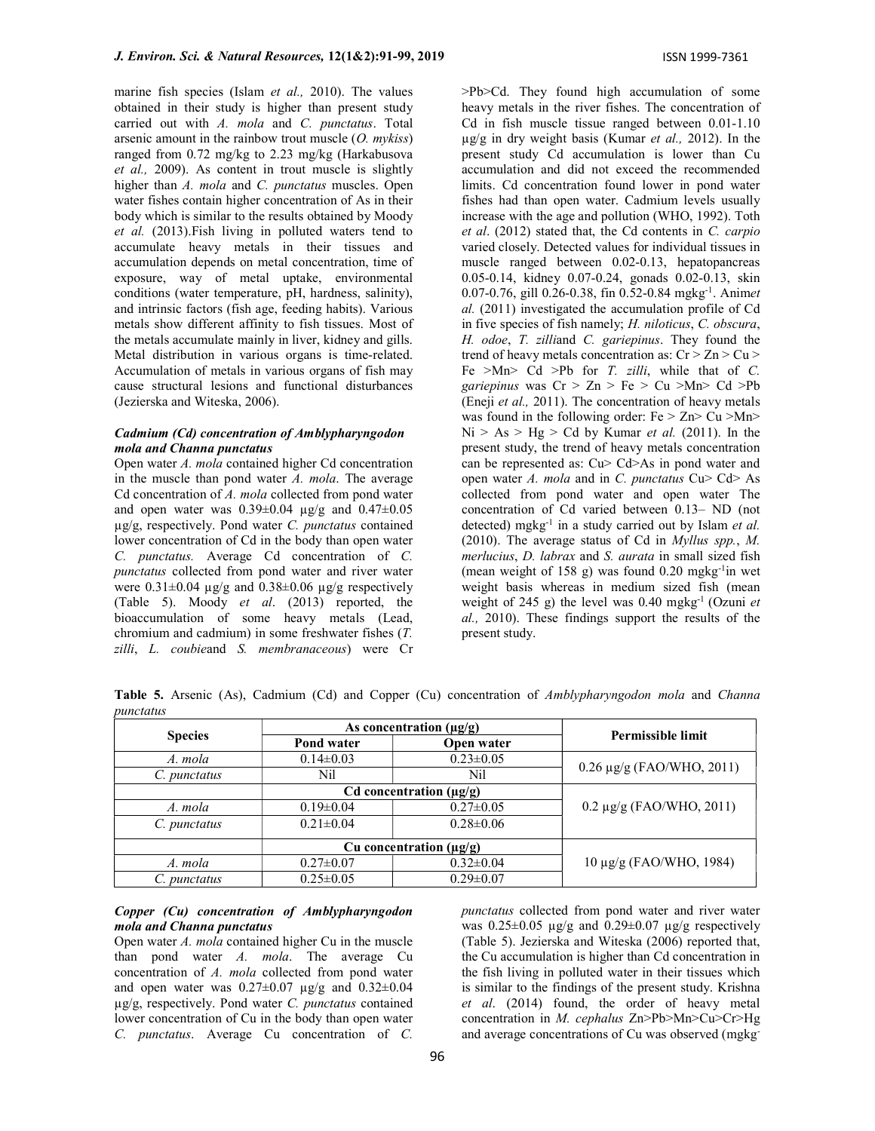marine fish species (Islam et al., 2010). The values obtained in their study is higher than present study carried out with A. mola and C. punctatus. Total arsenic amount in the rainbow trout muscle  $(O.$  mykiss) ranged from 0.72 mg/kg to 2.23 mg/kg (Harkabusova et al., 2009). As content in trout muscle is slightly higher than A. mola and C. punctatus muscles. Open water fishes contain higher concentration of As in their body which is similar to the results obtained by Moody et al. (2013).Fish living in polluted waters tend to accumulate heavy metals in their tissues and accumulation depends on metal concentration, time of exposure, way of metal uptake, environmental conditions (water temperature, pH, hardness, salinity), and intrinsic factors (fish age, feeding habits). Various metals show different affinity to fish tissues. Most of the metals accumulate mainly in liver, kidney and gills. Metal distribution in various organs is time-related. Accumulation of metals in various organs of fish may cause structural lesions and functional disturbances (Jezierska and Witeska, 2006).

## Cadmium (Cd) concentration of Amblypharyngodon mola and Channa punctatus

Open water A. mola contained higher Cd concentration in the muscle than pond water  $A$ . mola. The average Cd concentration of A. mola collected from pond water and open water was  $0.39\pm0.04$  µg/g and  $0.47\pm0.05$ µg/g, respectively. Pond water C. punctatus contained lower concentration of Cd in the body than open water C. punctatus. Average Cd concentration of C. punctatus collected from pond water and river water were  $0.31\pm0.04$  µg/g and  $0.38\pm0.06$  µg/g respectively (Table 5). Moody et al. (2013) reported, the bioaccumulation of some heavy metals (Lead, chromium and cadmium) in some freshwater fishes (T. zilli, L. coubieand S. membranaceous) were Cr

>Pb>Cd. They found high accumulation of some heavy metals in the river fishes. The concentration of Cd in fish muscle tissue ranged between 0.01-1.10  $\mu$ g/g in dry weight basis (Kumar *et al.*, 2012). In the present study Cd accumulation is lower than Cu accumulation and did not exceed the recommended limits. Cd concentration found lower in pond water fishes had than open water. Cadmium levels usually increase with the age and pollution (WHO, 1992). Toth et al. (2012) stated that, the Cd contents in C. carpio varied closely. Detected values for individual tissues in muscle ranged between 0.02-0.13, hepatopancreas 0.05-0.14, kidney 0.07-0.24, gonads 0.02-0.13, skin 0.07-0.76, gill 0.26-0.38, fin 0.52-0.84 mgkg-1. Animet al. (2011) investigated the accumulation profile of Cd in five species of fish namely; H. niloticus, C. obscura, H. odoe, T. zilliand C. gariepinus. They found the trend of heavy metals concentration as:  $Cr > Zn > Cu >$ Fe >Mn> Cd >Pb for  $T$ . zilli, while that of  $C$ . gariepinus was  $Cr > Zn > Fe > Cu > Mn > Cd > Pb$ (Eneji et al., 2011). The concentration of heavy metals was found in the following order:  $Fe > Zn > Cu > Mn >$  $Ni > As > Hg > Cd$  by Kumar *et al.* (2011). In the present study, the trend of heavy metals concentration can be represented as: Cu> Cd>As in pond water and open water A. mola and in C. punctatus  $Cu$ >  $Cd$ > As collected from pond water and open water The concentration of Cd varied between 0.13– ND (not detected) mgkg<sup>-1</sup> in a study carried out by Islam et al. (2010). The average status of Cd in Myllus spp., M. merlucius, D. labrax and S. aurata in small sized fish (mean weight of  $158$  g) was found  $0.20$  mgkg<sup>-1</sup>in wet weight basis whereas in medium sized fish (mean weight of 245 g) the level was  $0.40 \text{ mgkg}^{-1}$  (Ozuni *et* al., 2010). These findings support the results of the present study.

Table 5. Arsenic (As), Cadmium (Cd) and Copper (Cu) concentration of Amblypharyngodon mola and Channa punctatus

|                |                 | As concentration $(\mu g/g)$ | <b>Permissible limit</b>       |  |
|----------------|-----------------|------------------------------|--------------------------------|--|
| <b>Species</b> | Pond water      | Open water                   |                                |  |
| A. mola        | $0.14 \pm 0.03$ | $0.23 \pm 0.05$              | $0.26 \mu g/g$ (FAO/WHO, 2011) |  |
| C. punctatus   | Nil             | Nil                          |                                |  |
|                |                 | Cd concentration $(\mu g/g)$ |                                |  |
| A. mola        | $0.19 \pm 0.04$ | $0.27 \pm 0.05$              | $0.2 \mu$ g/g (FAO/WHO, 2011)  |  |
| C. punctatus   | $0.21 \pm 0.04$ | $0.28 \pm 0.06$              |                                |  |
|                |                 | Cu concentration $(\mu g/g)$ |                                |  |
| A. mola        | $0.27 \pm 0.07$ | $0.32 \pm 0.04$              | 10 μg/g (FAO/WHO, 1984)        |  |
| C. punctatus   | $0.25 \pm 0.05$ | $0.29 \pm 0.07$              |                                |  |

## Copper (Cu) concentration of Amblypharyngodon mola and Channa punctatus

Open water A. mola contained higher Cu in the muscle than pond water  $A$ . mola. The average Cu concentration of A. mola collected from pond water and open water was  $0.27 \pm 0.07$   $\mu$ g/g and  $0.32 \pm 0.04$ µg/g, respectively. Pond water C. punctatus contained lower concentration of Cu in the body than open water C. punctatus. Average Cu concentration of C.

punctatus collected from pond water and river water was  $0.25 \pm 0.05$  µg/g and  $0.29 \pm 0.07$  µg/g respectively (Table 5). Jezierska and Witeska (2006) reported that, the Cu accumulation is higher than Cd concentration in the fish living in polluted water in their tissues which is similar to the findings of the present study. Krishna et al. (2014) found, the order of heavy metal concentration in M. cephalus Zn>Pb>Mn>Cu>Cr>Hg and average concentrations of Cu was observed (mgkg-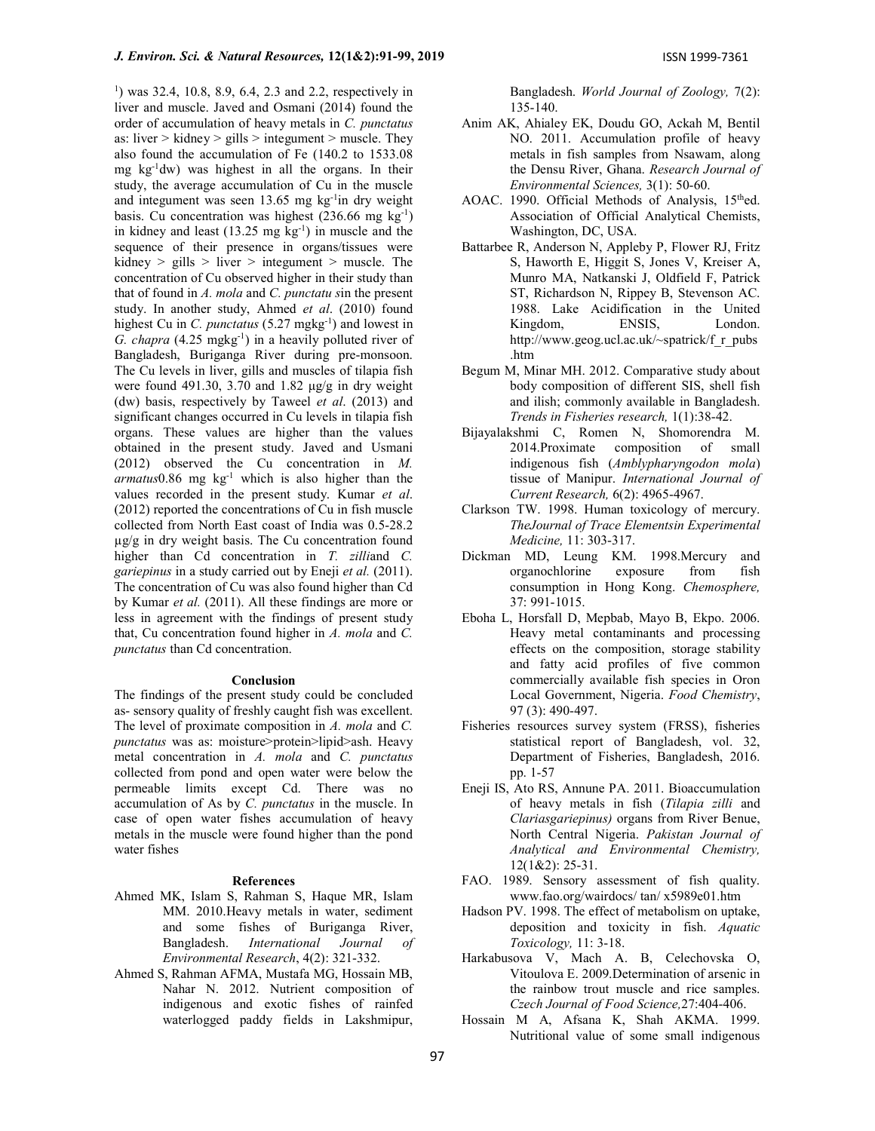1 ) was 32.4, 10.8, 8.9, 6.4, 2.3 and 2.2, respectively in liver and muscle. Javed and Osmani (2014) found the order of accumulation of heavy metals in C. punctatus as: liver  $>$  kidney  $>$  gills  $>$  integument  $>$  muscle. They also found the accumulation of Fe (140.2 to 1533.08 mg  $kg^{-1}$ dw) was highest in all the organs. In their study, the average accumulation of Cu in the muscle and integument was seen 13.65 mg kg-1in dry weight basis. Cu concentration was highest  $(236.66 \text{ mg kg}^{-1})$ in kidney and least  $(13.25 \text{ mg kg}^{-1})$  in muscle and the sequence of their presence in organs/tissues were kidney  $>$  gills  $>$  liver  $>$  integument  $>$  muscle. The concentration of Cu observed higher in their study than that of found in A. mola and C. punctatu sin the present study. In another study, Ahmed et al. (2010) found highest Cu in C. punctatus  $(5.27 \text{ mgkg}^{-1})$  and lowest in G. chapra  $(4.25 \text{ mgkg}^{-1})$  in a heavily polluted river of Bangladesh, Buriganga River during pre-monsoon. The Cu levels in liver, gills and muscles of tilapia fish were found 491.30, 3.70 and 1.82  $\mu$ g/g in dry weight (dw) basis, respectively by Taweel et al. (2013) and significant changes occurred in Cu levels in tilapia fish organs. These values are higher than the values obtained in the present study. Javed and Usmani (2012) observed the Cu concentration in M.  $armatus0.86$  mg  $kg<sup>-1</sup>$  which is also higher than the values recorded in the present study. Kumar et al. (2012) reported the concentrations of Cu in fish muscle collected from North East coast of India was 0.5-28.2 µg/g in dry weight basis. The Cu concentration found higher than Cd concentration in T. zilliand C. gariepinus in a study carried out by Eneji et al. (2011). The concentration of Cu was also found higher than Cd by Kumar et al. (2011). All these findings are more or less in agreement with the findings of present study that, Cu concentration found higher in A. mola and C. punctatus than Cd concentration.

#### Conclusion

The findings of the present study could be concluded as- sensory quality of freshly caught fish was excellent. The level of proximate composition in A. mola and C. punctatus was as: moisture>protein>lipid>ash. Heavy metal concentration in A. mola and C. punctatus collected from pond and open water were below the permeable limits except Cd. There was no accumulation of As by C. punctatus in the muscle. In case of open water fishes accumulation of heavy metals in the muscle were found higher than the pond water fishes

#### References

- Ahmed MK, Islam S, Rahman S, Haque MR, Islam MM. 2010.Heavy metals in water, sediment and some fishes of Buriganga River, Bangladesh. International Journal of Environmental Research, 4(2): 321-332.
- Ahmed S, Rahman AFMA, Mustafa MG, Hossain MB, Nahar N. 2012. Nutrient composition of indigenous and exotic fishes of rainfed waterlogged paddy fields in Lakshmipur,

Bangladesh. World Journal of Zoology, 7(2): 135-140.

- Anim AK, Ahialey EK, Doudu GO, Ackah M, Bentil NO. 2011. Accumulation profile of heavy metals in fish samples from Nsawam, along the Densu River, Ghana. Research Journal of Environmental Sciences, 3(1): 50-60.
- AOAC. 1990. Official Methods of Analysis, 15<sup>th</sup>ed. Association of Official Analytical Chemists, Washington, DC, USA.
- Battarbee R, Anderson N, Appleby P, Flower RJ, Fritz S, Haworth E, Higgit S, Jones V, Kreiser A, Munro MA, Natkanski J, Oldfield F, Patrick ST, Richardson N, Rippey B, Stevenson AC. 1988. Lake Acidification in the United Kingdom, ENSIS, London. http://www.geog.ucl.ac.uk/~spatrick/f\_r\_pubs .htm
- Begum M, Minar MH. 2012. Comparative study about body composition of different SIS, shell fish and ilish; commonly available in Bangladesh. Trends in Fisheries research, 1(1):38-42.
- Bijayalakshmi C, Romen N, Shomorendra M. 2014.Proximate composition of small indigenous fish (Amblypharyngodon mola) tissue of Manipur. International Journal of Current Research, 6(2): 4965-4967.
- Clarkson TW. 1998. Human toxicology of mercury. TheJournal of Trace Elementsin Experimental Medicine, 11: 303-317.
- Dickman MD, Leung KM. 1998.Mercury and organochlorine exposure from fish consumption in Hong Kong. Chemosphere, 37: 991-1015.
- Eboha L, Horsfall D, Mepbab, Mayo B, Ekpo. 2006. Heavy metal contaminants and processing effects on the composition, storage stability and fatty acid profiles of five common commercially available fish species in Oron Local Government, Nigeria. Food Chemistry, 97 (3): 490-497.
- Fisheries resources survey system (FRSS), fisheries statistical report of Bangladesh, vol. 32, Department of Fisheries, Bangladesh, 2016. pp. 1-57
- Eneji IS, Ato RS, Annune PA. 2011. Bioaccumulation of heavy metals in fish (Tilapia zilli and Clariasgariepinus) organs from River Benue, North Central Nigeria. Pakistan Journal of Analytical and Environmental Chemistry, 12(1&2): 25-31.
- FAO. 1989. Sensory assessment of fish quality. www.fao.org/wairdocs/ tan/ x5989e01.htm
- Hadson PV. 1998. The effect of metabolism on uptake, deposition and toxicity in fish. Aquatic Toxicology, 11: 3-18.
- Harkabusova V, Mach A. B, Celechovska O, Vitoulova E. 2009.Determination of arsenic in the rainbow trout muscle and rice samples. Czech Journal of Food Science,27:404-406.
- Hossain M A, Afsana K, Shah AKMA. 1999. Nutritional value of some small indigenous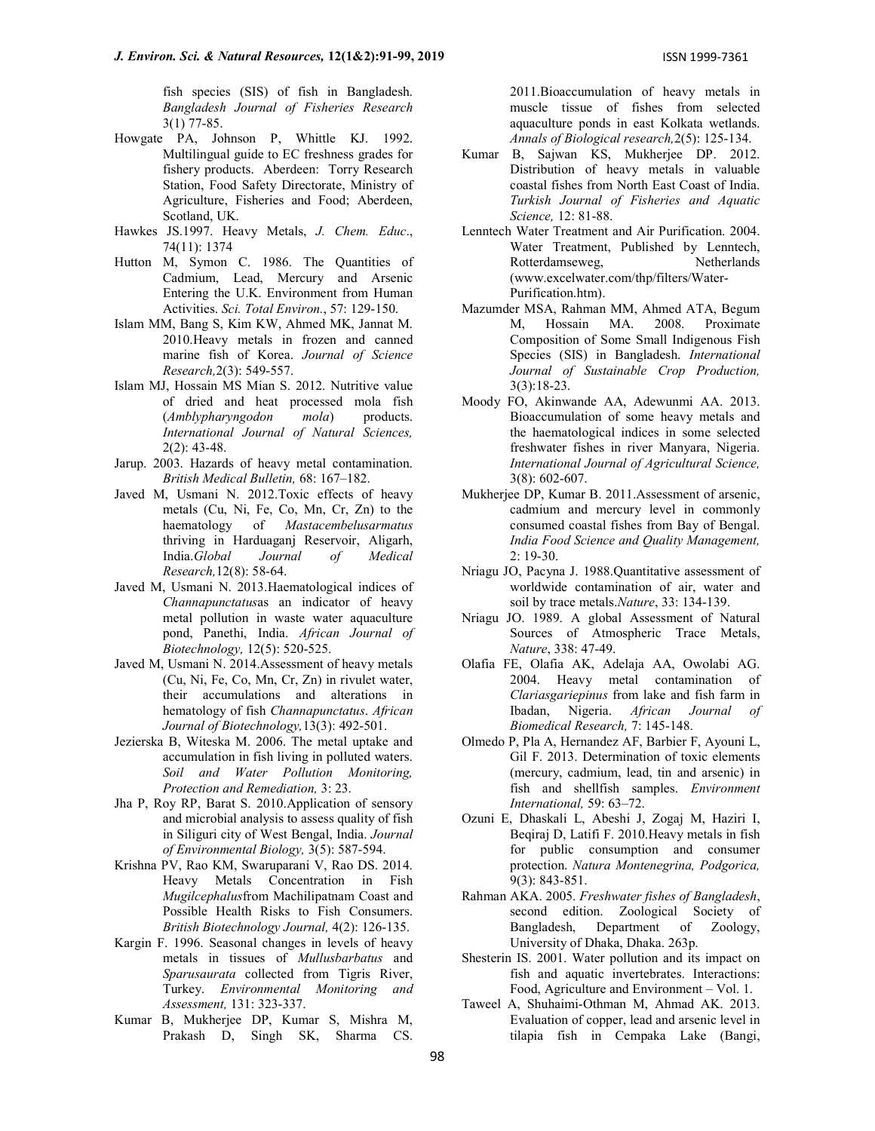fish species (SIS) of fish in Bangladesh. Bangladesh Journal of Fisheries Research 3(1) 77-85.

- Howgate PA, Johnson P, Whittle KJ. 1992. Multilingual guide to EC freshness grades for fishery products. Aberdeen: Torry Research Station, Food Safety Directorate, Ministry of Agriculture, Fisheries and Food; Aberdeen, Scotland, UK.
- Hawkes JS.1997. Heavy Metals, J. Chem. Educ., 74(11): 1374
- Hutton M, Symon C. 1986. The Quantities of Cadmium, Lead, Mercury and Arsenic Entering the U.K. Environment from Human Activities. Sci. Total Environ., 57: 129-150.
- Islam MM, Bang S, Kim KW, Ahmed MK, Jannat M. 2010.Heavy metals in frozen and canned marine fish of Korea. Journal of Science Research,2(3): 549-557.
- Islam MJ, Hossain MS Mian S. 2012. Nutritive value of dried and heat processed mola fish (Amblypharyngodon mola) products. International Journal of Natural Sciences, 2(2): 43-48.
- Jarup. 2003. Hazards of heavy metal contamination. British Medical Bulletin, 68: 167–182.
- Javed M, Usmani N. 2012.Toxic effects of heavy metals (Cu, Ni, Fe, Co, Mn, Cr, Zn) to the haematology of Mastacembelusarmatus thriving in Harduaganj Reservoir, Aligarh, India.Global Journal of Medical Research,12(8): 58-64.
- Javed M, Usmani N. 2013.Haematological indices of Channapunctatusas an indicator of heavy metal pollution in waste water aquaculture pond, Panethi, India. African Journal of Biotechnology, 12(5): 520-525.
- Javed M, Usmani N. 2014.Assessment of heavy metals (Cu, Ni, Fe, Co, Mn, Cr, Zn) in rivulet water, their accumulations and alterations in hematology of fish Channapunctatus. African Journal of Biotechnology,13(3): 492-501.
- Jezierska B, Witeska M. 2006. The metal uptake and accumulation in fish living in polluted waters. Soil and Water Pollution Monitoring, Protection and Remediation, 3: 23.
- Jha P, Roy RP, Barat S. 2010.Application of sensory and microbial analysis to assess quality of fish in Siliguri city of West Bengal, India. Journal of Environmental Biology, 3(5): 587-594.
- Krishna PV, Rao KM, Swaruparani V, Rao DS. 2014. Heavy Metals Concentration in Fish Mugilcephalusfrom Machilipatnam Coast and Possible Health Risks to Fish Consumers. British Biotechnology Journal, 4(2): 126-135.
- Kargin F. 1996. Seasonal changes in levels of heavy metals in tissues of Mullusbarbatus and Sparusaurata collected from Tigris River, Turkey. Environmental Monitoring and Assessment, 131: 323-337.
- Kumar B, Mukherjee DP, Kumar S, Mishra M, Prakash D, Singh SK, Sharma CS.

2011.Bioaccumulation of heavy metals in muscle tissue of fishes from selected aquaculture ponds in east Kolkata wetlands. Annals of Biological research,2(5): 125-134.

- Kumar B, Sajwan KS, Mukherjee DP. 2012. Distribution of heavy metals in valuable coastal fishes from North East Coast of India. Turkish Journal of Fisheries and Aquatic Science, 12: 81-88.
- Lenntech Water Treatment and Air Purification. 2004. Water Treatment, Published by Lenntech, Rotterdamseweg, Netherlands (www.excelwater.com/thp/filters/Water-Purification.htm).
- Mazumder MSA, Rahman MM, Ahmed ATA, Begum M, Hossain MA. 2008. Proximate Composition of Some Small Indigenous Fish Species (SIS) in Bangladesh. International Journal of Sustainable Crop Production, 3(3):18-23.
- Moody FO, Akinwande AA, Adewunmi AA. 2013. Bioaccumulation of some heavy metals and the haematological indices in some selected freshwater fishes in river Manyara, Nigeria. International Journal of Agricultural Science, 3(8): 602-607.
- Mukherjee DP, Kumar B. 2011.Assessment of arsenic, cadmium and mercury level in commonly consumed coastal fishes from Bay of Bengal. India Food Science and Quality Management, 2: 19-30.
- Nriagu JO, Pacyna J. 1988.Quantitative assessment of worldwide contamination of air, water and soil by trace metals. Nature, 33: 134-139.
- Nriagu JO. 1989. A global Assessment of Natural Sources of Atmospheric Trace Metals, Nature, 338: 47-49.
- Olafia FE, Olafia AK, Adelaja AA, Owolabi AG. 2004. Heavy metal contamination of Clariasgariepinus from lake and fish farm in Ibadan, Nigeria. African Journal of Biomedical Research, 7: 145-148.
- Olmedo P, Pla A, Hernandez AF, Barbier F, Ayouni L, Gil F. 2013. Determination of toxic elements (mercury, cadmium, lead, tin and arsenic) in fish and shellfish samples. Environment International, 59: 63–72.
- Ozuni E, Dhaskali L, Abeshi J, Zogaj M, Haziri I, Beqiraj D, Latifi F. 2010.Heavy metals in fish for public consumption and consumer protection. Natura Montenegrina, Podgorica, 9(3): 843-851.
- Rahman AKA. 2005. Freshwater fishes of Bangladesh, second edition. Zoological Society of Bangladesh, Department of Zoology, University of Dhaka, Dhaka. 263p.
- Shesterin IS. 2001. Water pollution and its impact on fish and aquatic invertebrates. Interactions: Food, Agriculture and Environment – Vol. 1.
- Taweel A, Shuhaimi-Othman M, Ahmad AK. 2013. Evaluation of copper, lead and arsenic level in tilapia fish in Cempaka Lake (Bangi,